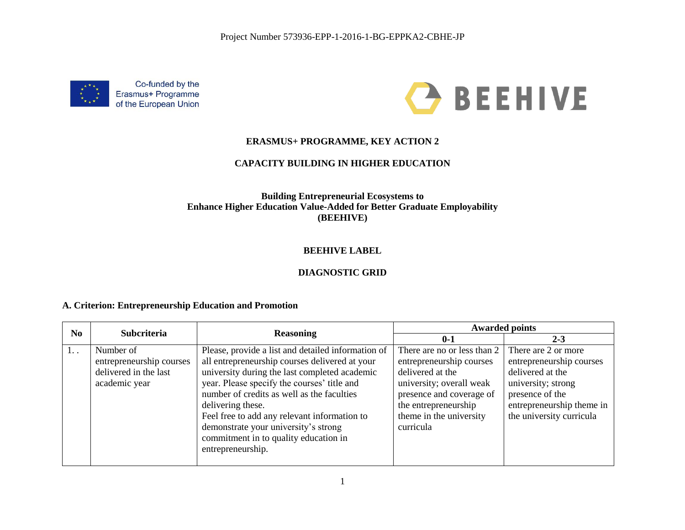



#### **ERASMUS+ PROGRAMME, KEY ACTION 2**

#### **CAPACITY BUILDING IN HIGHER EDUCATION**

#### **Building Entrepreneurial Ecosystems to Enhance Higher Education Value-Added for Better Graduate Employability (BEEHIVE)**

## **BEEHIVE LABEL**

## **DIAGNOSTIC GRID**

#### **A. Criterion: Entrepreneurship Education and Promotion**

| $\bf No$ | <b>Subcriteria</b>       | <b>Reasoning</b>                                   | <b>Awarded points</b>       |                           |
|----------|--------------------------|----------------------------------------------------|-----------------------------|---------------------------|
|          |                          |                                                    | $0 - 1$                     | $2 - 3$                   |
| $1.$ .   | Number of                | Please, provide a list and detailed information of | There are no or less than 2 | There are 2 or more       |
|          | entrepreneurship courses | all entrepreneurship courses delivered at your     | entrepreneurship courses    | entrepreneurship courses  |
|          | delivered in the last    | university during the last completed academic      | delivered at the            | delivered at the          |
|          | academic year            | year. Please specify the courses' title and        | university; overall weak    | university; strong        |
|          |                          | number of credits as well as the faculties         | presence and coverage of    | presence of the           |
|          |                          | delivering these.                                  | the entrepreneurship        | entrepreneurship theme in |
|          |                          | Feel free to add any relevant information to       | theme in the university     | the university curricula  |
|          |                          | demonstrate your university's strong               | curricula                   |                           |
|          |                          | commitment in to quality education in              |                             |                           |
|          |                          | entrepreneurship.                                  |                             |                           |
|          |                          |                                                    |                             |                           |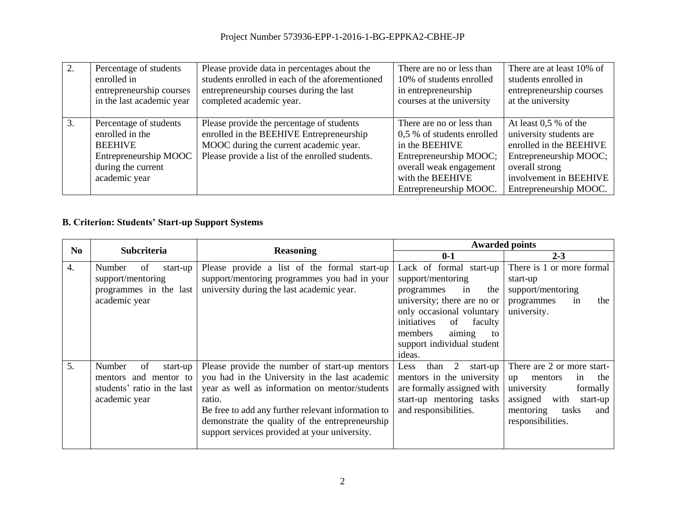| 2. | Percentage of students    | Please provide data in percentages about the    | There are no or less than  | There are at least 10% of |
|----|---------------------------|-------------------------------------------------|----------------------------|---------------------------|
|    | enrolled in               | students enrolled in each of the aforementioned | 10% of students enrolled   | students enrolled in      |
|    | entrepreneurship courses  | entrepreneurship courses during the last        | in entrepreneurship        | entrepreneurship courses  |
|    | in the last academic year | completed academic year.                        | courses at the university  | at the university         |
|    |                           |                                                 |                            |                           |
| 3. | Percentage of students    | Please provide the percentage of students       | There are no or less than  | At least $0.5\%$ of the   |
|    | enrolled in the           | enrolled in the BEEHIVE Entrepreneurship        | 0,5 % of students enrolled | university students are   |
|    | <b>BEEHIVE</b>            | MOOC during the current academic year.          | in the BEEHIVE             | enrolled in the BEEHIVE   |
|    | Entrepreneurship MOOC     | Please provide a list of the enrolled students. | Entrepreneurship MOOC;     | Entrepreneurship MOOC;    |
|    | during the current        |                                                 | overall weak engagement    | overall strong            |
|    | academic year             |                                                 | with the BEEHIVE           | involvement in BEEHIVE    |
|    |                           |                                                 | Entrepreneurship MOOC.     | Entrepreneurship MOOC.    |

# **B. Criterion: Students' Start-up Support Systems**

| N <sub>0</sub> | <b>Subcriteria</b>                                                                                | <b>Reasoning</b>                                                                                                                                                                                                                                                                                                      | <b>Awarded points</b>                                                                                                                                                                                                                  |                                                                                                                                                                      |
|----------------|---------------------------------------------------------------------------------------------------|-----------------------------------------------------------------------------------------------------------------------------------------------------------------------------------------------------------------------------------------------------------------------------------------------------------------------|----------------------------------------------------------------------------------------------------------------------------------------------------------------------------------------------------------------------------------------|----------------------------------------------------------------------------------------------------------------------------------------------------------------------|
|                |                                                                                                   |                                                                                                                                                                                                                                                                                                                       | $0 - 1$                                                                                                                                                                                                                                | $2 - 3$                                                                                                                                                              |
| 4.             | Number<br>οf<br>start-up<br>support/mentoring<br>programmes in the last<br>academic year          | Please provide a list of the formal start-up<br>support/mentoring programmes you had in your<br>university during the last academic year.                                                                                                                                                                             | Lack of formal start-up<br>support/mentoring<br>the<br>programmes<br>in<br>university; there are no or<br>only occasional voluntary<br>initiatives<br>of<br>faculty<br>members<br>aiming<br>to<br>support individual student<br>ideas. | There is 1 or more formal<br>start-up<br>support/mentoring<br>in<br>programmes<br>the<br>university.                                                                 |
| 5.             | Number<br>of<br>start-up<br>mentors and mentor to<br>students' ratio in the last<br>academic year | Please provide the number of start-up mentors<br>you had in the University in the last academic<br>year as well as information on mentor/students<br>ratio.<br>Be free to add any further relevant information to<br>demonstrate the quality of the entrepreneurship<br>support services provided at your university. | 2<br>than<br>start-up<br>Less<br>mentors in the university<br>are formally assigned with<br>start-up mentoring tasks<br>and responsibilities.                                                                                          | There are 2 or more start-<br>the<br>mentors<br>up<br>1n<br>university<br>formally<br>assigned<br>with<br>start-up<br>mentoring<br>tasks<br>and<br>responsibilities. |